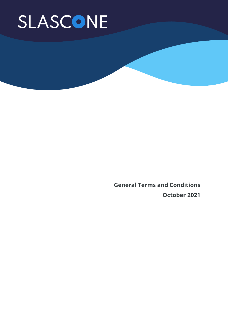**General Terms and Conditions October 2021**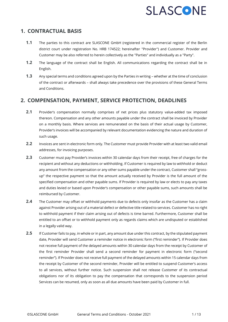#### **1. CONTRACTUAL BASIS**

- **1.1** The parties to this contract are SLASCONE GmbH (registered in the commercial register of the Berlin district court under registration No. HRB 174522; hereinafter "Provider") and Customer. Provider and Customer may be also referred to herein collectively as the "Parties" and individually as a "Party".
- **1.2** The language of the contract shall be English. All communications regarding the contract shall be in English.
- **1.3** Any special terms and conditions agreed upon by the Parties in writing whether at the time of conclusion of the contract or afterwards – shall always take precedence over the provisions of these General Terms and Conditions.

#### **2. COMPENSATION, PAYMENT, SERVICE PROTECTION, DEADLINES**

- **2.1** Provider's compensation normally comprises of net prices plus statutory value-added tax imposed thereon. Compensation and any other amounts payable under the contract shall be invoiced by Provider on a monthly basis. Where services are remunerated on the basis of their actual usage by Customer, Provider's invoices will be accompanied by relevant documentation evidencing the nature and duration of such usage.
- **2.2** Invoices are sent in electronic form only. The Customer must provide Provider with at least two valid email addresses, for invoicing purposes.
- **2.3** Customer must pay Provider's invoices within 30 calendar days from their receipt, free of charges for the recipient and without any deductions or withholding. If Customer is required by law to withhold or deduct any amount from the compensation or any other sums payable under the contract, Customer shall "grossup" the respective payment so that the amount actually received by Provider is the full amount of the specified compensation and other payable sums. If Provider is required by law or elects to pay any taxes and duties levied or based upon Provider's compensation or other payable sums, such amounts shall be reimbursed by Customer.
- **2.4** The Customer may offset or withhold payments due to defects only insofar as the Customer has a claim against Provider arising out of a material defect or defective title related to services. Customer has no right to withhold payment if their claim arising out of defects is time barred. Furthermore, Customer shall be entitled to an offset or to withhold payment only as regards claims which are undisputed or established in a legally valid way.
- **2.5** If Customer fails to pay, in whole or in part, any amount due under this contract, by the stipulated payment date, Provider will send Customer a reminder notice in electronic form ("first reminder"). If Provider does not receive full payment of the delayed amounts within 30 calendar days from the receipt by Customer of the first reminder Provider shall send a second reminder for payment in electronic form ("second reminder"). If Provider does not receive full payment of the delayed amounts within 15 calendar days from the receipt by Customer of the second reminder, Provider will be entitled to suspend Customer's access to all services, without further notice. Such suspension shall not release Customer of its contractual obligations nor of its obligation to pay the compensation that corresponds to the suspension period Services can be resumed, only as soon as all due amounts have been paid by Customer in full.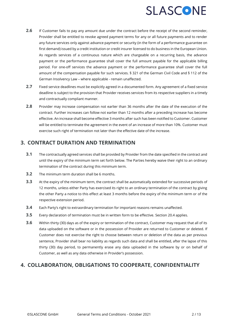- **2.6** If Customer fails to pay any amount due under the contract before the receipt of the second reminder, Provider shall be entitled to revoke agreed payment terms for any or all future payments and to render any future services only against advance payment or security (in the form of a performance guarantee on first demand) issued by a credit institution or credit insurer licensed to do business in the European Union. As regards services of a continuous nature which are chargeable on a recurring basis, the advance payment or the performance guarantee shall cover the full amount payable for the applicable billing period. For one-off services the advance payment or the performance guarantee shall cover the full amount of the compensation payable for such services. § 321 of the German Civil Code and § 112 of the German Insolvency Law – where applicable - remain unaffected.
- **2.7** Fixed service deadlines must be explicitly agreed in a documented form. Any agreement of a fixed service deadline is subject to the provision that Provider receives services from its respective suppliers in a timely and contractually compliant manner.
- **2.8** Provider may increase compensation not earlier than 36 months after the date of the execution of the contract. Further increases can follow not earlier than 12 months after a preceding increase has become effective. An increase shall become effective 3 months after such has been notified to Customer. Customer will be entitled to terminate the agreement in the event of an increase of more than 10%. Customer must exercise such right of termination not later than the effective date of the increase.

#### **3. CONTRACT DURATION AND TERMINATION**

- **3.1** The contractually agreed services shall be provided by Provider from the date specified in the contract and until the expiry of the minimum term set forth below. The Parties hereby waive their right to an ordinary termination of the contract during this minimum term.
- **3.2** The minimum term duration shall be 6 months.
- **3.3** At the expiry of the minimum term, the contract shall be automatically extended for successive periods of 12 months, unless either Party has exercised its right to an ordinary termination of the contract by giving the other Party a notice to this effect at least 3 months before the expiry of the minimum term or of the respective extension period.
- **3.4** Each Party's right to extraordinary termination for important reasons remains unaffected.
- **3.5** Every declaration of termination must be in written form to be effective. Section 20.4 applies.
- **3.6** Within thirty (30) days as of the expiry or termination of the contract, Customer may request that all of its data uploaded on the software or in the possession of Provider are returned to Customer or deleted. If Customer does not exercise the right to choose between return or deletion of the data as per previous sentence, Provider shall bear no liability as regards such data and shall be entitled, after the lapse of this thirty (30) day period, to permanently erase any data uploaded in the software by or on behalf of Customer, as well as any data otherwise in Provider's possession.

#### **4. COLLABORATION, OBLIGATIONS TO COOPERATE, CONFIDENTIALITY**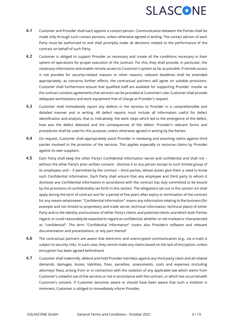- **4.1** Customer and Provider shall each appoint a contact person. Communication between the Parties shall be made only through such contact persons, unless otherwise agreed in writing. The contact person of each Party must be authorized to and shall promptly make all decisions related to the performance of the contract on behalf of such Party.
- **4.2** Customer is obliged to support Provider as necessary and create all the conditions necessary in their sphere of operations for proper execution of the contract. For this, they shall provide, in particular, the necessary information and enable remote access to Customer's system as far as possible. If remote access is not possible for security-related reasons or other reasons, relevant deadlines shall be extended appropriately; as concerns further effects, the contractual partners will agree on suitable provisions. Customer shall furthermore ensure that qualified staff are available for supporting Provider. Insofar as the contract contains agreements that services can be provided at Customer's site, Customer shall provide adequate workstations and work equipment free of charge at Provider's request.
- **4.3** Customer shall immediately report any defects in the services to Provider in a comprehensible and detailed manner and in writing. All defect reports must include all information useful for defect identification and analysis, that is, indicatively, the work steps which led to the emergence of the defect, how was the defect detected and the consequences of the defect. Provider's relevant forms and procedures shall be used for this purpose, unless otherwise agreed in writing by the Parties.
- **4.4** On request, Customer shall appropriately assist Provider in reviewing and asserting claims against third parties involved in the provision of the services. This applies especially to recourse claims by Provider against its own suppliers.
- **4.5** Each Party shall keep the other Party's Confidential Information secret and confidential and shall not without the other Party's prior written consent - disclose it to any person except to such limited group of its employees and – if permitted by the contract – third parties, whose duties give them a need to know such Confidential Information. Each Party shall ensure that any employee and third party to whom it discloses any Confidential Information in accordance with the contract has duly committed to be bound by the provisions of confidentiality set forth in this section. The obligations set out in this section 4.6 shall apply during the term of contract and for a period of five years after expiry or termination of the contract for any reason whatsoever. "Confidential Information" means any information relating to the business (for example and not limited to proprietary and trade secret, technical information, technical plans) of either Party and to the identity and business of either Party's clients and potential clients and which both Parties regard, or could reasonably be expected to regard as confidential, whether or not marked or characterized as "confidential". The term "Confidential Information" covers also Provider's software and relevant documentation and presentations, or any part thereof.
- **4.6** The contractual partners are aware that electronic and unencrypted communication (e.g., via e-mail) is subject to security risks. In such case, they cannot make any claims based on the lack of encryption, unless encryption has been agreed beforehand.
- **4.7** Customer shall indemnify, defend and hold Provider harmless against any third party claim and all related demands, damages, losses, liabilities, fines, penalties, assessments, costs and expenses (including attorneys' fees), arising from or in connection with the violation of any applicable law which stems from Customer's unlawful use of the services or not in accordance with the contract, or which has occurred with Customer's consent. If Customer becomes aware or should have been aware that such a violation is imminent, Customer is obliged to immediately inform Provider.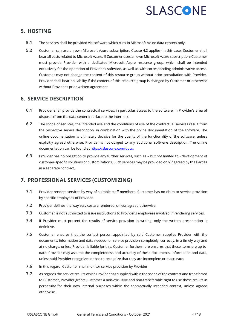#### **5. HOSTING**

- **5.1** The services shall be provided via software which runs in Microsoft Azure data centers only.
- **5.2** Customer can use an own Microsoft Azure subscription. Clause 4.2 applies. In this case, Customer shall bear all costs related to Microsoft Azure. If Customer uses an own Microsoft Azure subscription, Customer must provide Provider with a dedicated Microsoft Azure resource group, which shall be intended exclusively for the operation of Provider's software, as well as with corresponding administrative access. Customer may not change the content of this resource group without prior consultation with Provider. Provider shall bear no liability if the content of this resource group is changed by Customer or otherwise without Provider's prior written agreement.

#### **6. SERVICE DESCRIPTION**

- **6.1** Provider shall provide the contractual services, in particular access to the software, in Provider's area of disposal (from the data center interface to the Internet).
- **6.2** The scope of services, the intended use and the conditions of use of the contractual services result from the respective service description, in combination with the online documentation of the software. The online documentation is ultimately decisive for the quality of the functionality of the software, unless explicitly agreed otherwise. Provider is not obliged to any additional software description. The online documentation can be found a[t https://slascone.com/docs.](https://slascone.com/docs)
- **6.3** Provider has no obligation to provide any further services, such as but not limited to development of customer-specific solutions or customizations. Such services may be provided only if agreed by the Parties in a separate contract.

#### **7. PROFESSIONAL SERVICES (CUSTOMIZING)**

- **7.1** Provider renders services by way of suitable staff members. Customer has no claim to service provision by specific employees of Provider.
- **7.2** Provider defines the way services are rendered, unless agreed otherwise.
- **7.3** Customer is not authorized to issue instructions to Provider's employees involved in rendering services.
- **7.4** If Provider must present the results of service provision in writing, only the written presentation is definitive.
- **7.5** Customer ensures that the contact person appointed by said Customer supplies Provider with the documents, information and data needed for service provision completely, correctly, in a timely way and at no charge, unless Provider is liable for this. Customer furthermore ensures that these items are up todate. Provider may assume the completeness and accuracy of these documents, information and data, unless said Provider recognizes or has to recognize that they are incomplete or inaccurate.
- **7.6** In this regard, Customer shall monitor service provision by Provider.
- **7.7** As regards the service results which Provider has supplied within the scope of the contract and transferred to Customer, Provider grants Customer a non-exclusive and non-transferable right to use these results in perpetuity for their own internal purposes within the contractually intended context, unless agreed otherwise.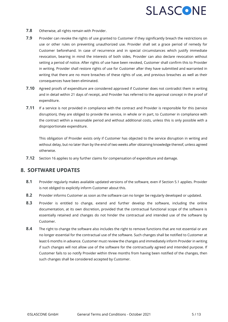- **7.8** Otherwise, all rights remain with Provider.
- **7.9** Provider can revoke the rights of use granted to Customer if they significantly breach the restrictions on use or other rules on preventing unauthorized use. Provider shall set a grace period of remedy for Customer beforehand. In case of recurrence and in special circumstances which justify immediate revocation, bearing in mind the interests of both sides, Provider can also declare revocation without setting a period of notice. After rights of use have been revoked, Customer shall confirm this to Provider in writing. Provider shall restore rights of use for Customer after they have submitted and warranted in writing that there are no more breaches of these rights of use, and previous breaches as well as their consequences have been eliminated.
- **7.10** Agreed proofs of expenditure are considered approved if Customer does not contradict them in writing and in detail within 21 days of receipt, and Provider has referred to the approval concept in the proof of expenditure.
- **7.11** If a service is not provided in compliance with the contract and Provider is responsible for this (service disruption), they are obliged to provide the service, in whole or in part, to Customer in compliance with the contract within a reasonable period and without additional costs, unless this is only possible with a disproportionate expenditure.

This obligation of Provider exists only if Customer has objected to the service disruption in writing and without delay, but no later than by the end of two weeks after obtaining knowledge thereof, unless agreed otherwise.

**7.12** Section 16 applies to any further claims for compensation of expenditure and damage.

#### **8. SOFTWARE UPDATES**

- **8.1** Provider regularly makes available updated versions of the software, even if Section 5.1 applies. Provider is not obliged to explicitly inform Customer about this.
- **8.2** Provider informs Customer as soon as the software can no longer be regularly developed or updated.
- **8.3** Provider is entitled to change, extend and further develop the software, including the online documentation, at its own discretion, provided that the contractual functional scope of the software is essentially retained and changes do not hinder the contractual and intended use of the software by Customer.
- **8.4** The right to change the software also includes the right to remove functions that are not essential or are no longer essential for the contractual use of the software. Such changes shall be notified to Customer at least 6 months in advance. Customer must review the changes and immediately inform Provider in writing if such changes will not allow use of the software for the contractually agreed and intended purpose. If Customer fails to so notify Provider within three months from having been notified of the changes, then such changes shall be considered accepted by Customer.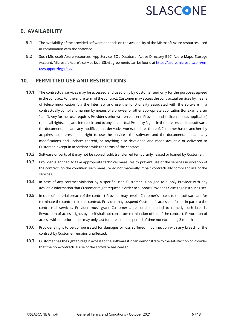#### **9. AVAILABILITY**

- **9.1** The availability of the provided software depends on the availability of the Microsoft Azure resources used in combination with the software.
- **9.2** Such Microsoft Azure resources: App Service, SQL Database, Active Directory B2C, Azure Maps, Storage Account. Microsoft Azure's service level (SLA) agreements can be found a[t https://azure.microsoft.com/en](https://azure.microsoft.com/en-us/support/legal/sla/)[us/support/legal/sla/.](https://azure.microsoft.com/en-us/support/legal/sla/)

#### **10. PERMITTED USE AND RESTRICTIONS**

- **10.1** The contractual services may be accessed and used only by Customer and only for the purposes agreed in the contract. For the entire term of the contract, Customer may access the contractual services by means of telecommunication (via the Internet), and use the functionality associated with the software in a contractually compliant manner by means of a browser or other appropriate application (for example, an "app"). Any further use requires Provider's prior written consent. Provider and its licensors (as applicable) retain all rights, title and interest in and to any Intellectual Property Rights in the services and the software, the documentation and any modifications, derivative works, updates thereof, Customer has no and hereby acquires no interest in or right to use the services, the software and the documentation and any modifications and updates thereof, or anything else developed and made available or delivered to Customer, except in accordance with the terms of the contract.
- **10.2** Software or parts of it may not be copied, sold, transferred temporarily, leased or loaned by Customer.
- **10.3** Provider is entitled to take appropriate technical measures to prevent use of the services in violation of the contract, on the condition such measure do not materially impair contractually compliant use of the services.
- **10.4** In case of any contract violation by a specific user, Customer is obliged to supply Provider with any available information that Customer might request in order to support Provider's claims against such user.
- **10.5** In case of material breach of the contract Provider may revoke Customer's access to the software and/or terminate the contract. In this context, Provider may suspend Customer's access (in full or in part) to the contractual services. Provider must grant Customer a reasonable period to remedy such breach. Revocation of access rights by itself shall not constitute termination of the of the contract. Revocation of access without prior notice may only last for a reasonable period of time not exceeding 3 months.
- **10.6** Provider's right to be compensated for damages or loss suffered in connection with any breach of the contract by Customer remains unaffected.
- **10.7** Customer has the right to regain access to the software if it can demonstrate to the satisfaction of Provider that the non-contractual use of the software has ceased.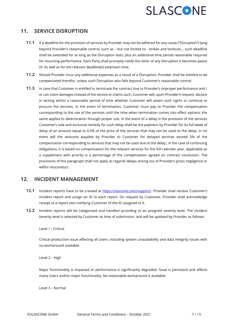#### **11. SERVICE DISRUPTION**

- **11.1** If a deadline for the provision of services by Provider may not be adhered for any cause ("Disruption") lying beyond Provider's reasonable control, such as – but not limited to - strikes and lockouts, , such deadline shall be extended for as long as the Disruption lasts, plus an additional time period reasonable required for resuming performance. Each Party shall promptly notify the other of any Disruption it becomes aware of. As well as for the relevant deadline(s) extension time.
- **11.2** Should Provider incur any additional expenses as a result of a Disruption, Provider shall be entitled to be compensated therefor, unless such Disruption also falls beyond Customer's reasonable control.
- **11.3** In case that Customer is entitled to terminate the contract due to Provider's improper performance and / or can claim damages instead of the service or claims such, Customer will, upon Provider's request, declare in writing within a reasonable period of time whether Customer will assert such rights or continue to procure the services. In the event of termination, Customer must pay to Provider the compensation corresponding to the use of the services until the time when termination comes into effect options; the same applies to deterioration through proper use. In the event of a delay in the provision of the services Customer's sole and exclusive remedy for such delay shall be the payment by Provider for its full week of delay of an amount equal to 0.5% of the price of the services that may not be used to the delay. In no event will the amounts payable by Provider to Customer for delayed services exceed 5% of the compensation corresponding to services that may not be used due to the delay.; in the case of continuing obligations, it is based on compensation for the relevant services for the full calendar year. Applicable as a supplement with priority is a percentage of the compensation agreed on contract conclusion. The provisions of this paragraph shall not apply as regards delays arising out of Provider's gross negligence or willful misconduct.

#### **12. INCIDENT MANAGEMENT**

- **12.1** Incident reports have to be created at [https://slascone.com/support/.](https://slascone.com/support/) Provider shall receive Customer's incident report and assign an ID to each report. On request by Customer, Provider shall acknowledge receipt of a report also notifying Customer of the ID assigned to it.
- **12.2** Incident reports will be categorized and handled according to an assigned severity level. The incident severity level is selected by Customer at time of submission, and will be updated by Provider as follows:

Level 1 - Critical

Critical production issue affecting all Users, including system unavailability and data integrity issues with no workaround available.

Level 2 – High

Major functionality is impacted or performance is significantly degraded. Issue is persistent and affects many Users and/or major functionality. No reasonable workaround is available.

Level 3 – Normal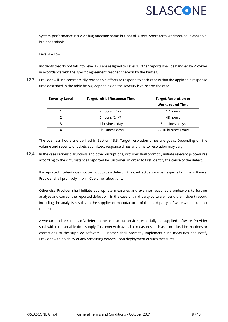System performance issue or bug affecting some but not all Users. Short-term workaround is available, but not scalable.

#### $L = L$

Incidents that do not fall into Level 1 - 3 are assigned to Level 4. Other reports shall be handled by Provider in accordance with the specific agreement reached thereon by the Parties.

**12.3** Provider will use commercially reasonable efforts to respond to each case within the applicable response time described in the table below, depending on the severity level set on the case.

| <b>Severity Level</b> | <b>Target Initial Response Time</b> | <b>Target Resolution or</b> |
|-----------------------|-------------------------------------|-----------------------------|
|                       |                                     | <b>Workaround Time</b>      |
|                       | 2 hours (24x7)                      | 12 hours                    |
| 7                     | 6 hours (24x7)                      | 48 hours                    |
| 3                     | 1 business day                      | 5 business days             |
| 4                     | 2 business days                     | 5 - 10 business days        |

The business hours are defined in Section 13.3. Target resolution times are goals. Depending on the volume and severity of tickets submitted, response times and time to resolution may vary.

**12.4** In the case serious disruptions and other disruptions, Provider shall promptly initiate relevant procedures according to the circumstances reported by Customer, in order to first identify the cause of the defect.

If a reported incident does not turn out to be a defect in the contractual services, especially in the software, Provider shall promptly inform Customer about this.

Otherwise Provider shall initiate appropriate measures and exercise reasonable endeavors to further analyze and correct the reported defect or - in the case of third-party software - send the incident report, including the analysis results, to the supplier or manufacturer of the third-party software with a support request.

A workaround or remedy of a defect in the contractual services, especially the supplied software, Provider shall within reasonable time supply Customer with available measures such as procedural instructions or corrections to the supplied software. Customer shall promptly implement such measures and notify Provider with no delay of any remaining defects upon deployment of such measures.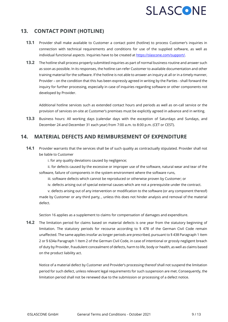#### **13. CONTACT POINT (HOTLINE)**

- **13.1** Provider shall make available to Customer a contact point (hotline) to process Customer's inquiries in connection with technical requirements and conditions for use of the supplied software, as well as individual functional aspects. Inquiries have to be created at [https://slascone.com/support/.](https://slascone.com/support/)
- **13.2** The hotline shall process properly submitted inquiries as part of normal business routine and answer such as soon as possible. In its responses, the hotline can refer Customer to available documentation and other training material for the software. If the hotline is not able to answer an inquiry at all or in a timely manner, Provider – on the condition that this has been expressly agreed in writing by the Parties - shall forward the inquiry for further processing, especially in case of inquiries regarding software or other components not developed by Provider.

Additional hotline services such as extended contact hours and periods as well as on-call service or the provision of services on-site at Customer's premises must be explicitly agreed in advance and in writing.

**13.3** Business hours: All working days (calendar days with the exception of Saturdays and Sundays, and December 24 and December 31 each year) from 7:00 a.m. to 8:00 p.m. (CET or CEST).

#### **14. MATERIAL DEFECTS AND REIMBURSEMENT OF EXPENDITURE**

**14.1** Provider warrants that the services shall be of such quality as contractually stipulated. Provider shall not be liable to Customer

i. for any quality deviations caused by negligence;

ii. for defects caused by the excessive or improper use of the software, natural wear and tear of the software, failure of components in the system environment where the software runs,

iii. software defects which cannot be reproduced or otherwise proven by Customer; or

iv. defects arising out of special external causes which are not a prerequisite under the contract.

v. defects arising out of any intervention or modification to the software (or any component thereof) made by Customer or any third party, , unless this does not hinder analysis and removal of the material defect.

Section 16 applies as a supplement to claims for compensation of damages and expenditure.

**14.2** The limitation period for claims based on material defects is one year from the statutory beginning of limitation. The statutory periods for recourse according to § 478 of the German Civil Code remain unaffected. The same applies insofar as longer periods are prescribed, pursuant to § 438 Paragraph 1 Item 2 or § 634a Paragraph 1 Item 2 of the German Civil Code, in case of intentional or grossly negligent breach of duty by Provider, fraudulent concealment of defects, harm to life, body or health, as well as claims based on the product liability act.

Notice of a material defect by Customer and Provider's processing thereof shall not suspend the limitation period for such defect, unless relevant legal requirements for such suspension are met. Consequently, the limitation period shall not be renewed due to the submission or processing of a defect notice.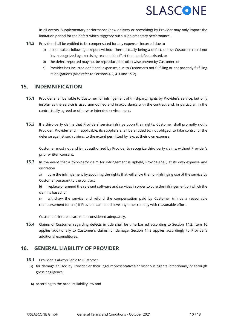In all events, Supplementary performance (new delivery or reworking) by Provider may only impact the limitation period for the defect which triggered such supplementary performance.

- **14.3** Provider shall be entitled to be compensated for any expenses incurred due to
	- a) action taken following a report without there actually being a defect, unless Customer could not have recognized by exercising reasonable effort that no defect existed, or
	- b) the defect reported may not be reproduced or otherwise proven by Customer, or
	- c) Provider has incurred additional expenses due to Customer's not fulfilling or not properly fulfilling its obligations (also refer to Sections 4.2, 4.3 und 15.2).

#### **15. INDEMNIFICATION**

- **15.1** Provider shall be liable to Customer for infringement of third-party rights by Provider's service, but only insofar as the service is used unmodified and in accordance with the contract and, in particular, in the contractually agreed or otherwise intended environment.
- **15.2** If a third-party claims that Providers' service infringe upon their rights, Customer shall promptly notify Provider. Provider and, if applicable, its suppliers shall be entitled to, not obliged, to take control of the defense against such claims, to the extent permitted by law, at their own expense.

Customer must not and is not authorized by Provider to recognize third-party claims, without Provider's prior written consent.

**15.3** In the event that a third-party claim for infringement is upheld, Provide shall, at its own expense and discretion

a) cure the infringement by acquiring the rights that will allow the non-infringing use of the service by Customer pursuant to the contract;

b) replace or amend the relevant software and services in order to cure the infringement on which the claim is based; or

c) withdraw the service and refund the compensation paid by Customer (minus a reasonable reimbursement for use) if Provider cannot achieve any other remedy with reasonable effort.

Customer's interests are to be considered adequately.

**15.4** Claims of Customer regarding defects in title shall be time barred according to Section 14.2. Item 16 applies additionally to Customer's claims for damage. Section 14.3 applies accordingly to Provider's additional expenditures.

#### **16. GENERAL LIABILITY OF PROVIDER**

- **16.1** Provider is always liable to Customer
	- a) for damage caused by Provider or their legal representatives or vicarious agents intentionally or through gross negligence,
	- b) according to the product liability law and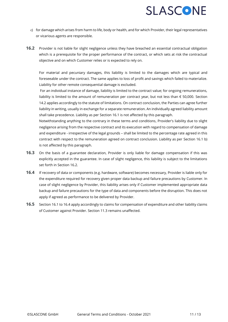- c) for damage which arises from harm to life, body or health, and for which Provider, their legal representatives or vicarious agents are responsible.
- **16.2** Provider is not liable for slight negligence unless they have breached an essential contractual obligation which is a prerequisite for the proper performance of the contract, or which sets at risk the contractual objective and on which Customer relies or is expected to rely on.

For material and pecuniary damages, this liability is limited to the damages which are typical and foreseeable under the contract. The same applies to loss of profit and savings which failed to materialize. Liability for other remote consequential damage is excluded.

For an individual instance of damage, liability is limited to the contract value; for ongoing remunerations, liability is limited to the amount of remuneration per contract year, but not less than  $\epsilon$  50,000. Section 14.2 applies accordingly to the statute of limitations. On contract conclusion, the Parties can agree further liability in writing, usually in exchange for a separate remuneration. An individually agreed liability amount shall take precedence. Liability as per Section 16.1 is not affected by this paragraph.

Notwithstanding anything to the contrary in these terms and conditions, Provider's liability due to slight negligence arising from the respective contract and its execution with regard to compensation of damage and expenditure - irrespective of the legal grounds – shall be limited to the percentage rate agreed in this contract with respect to the remuneration agreed on contract conclusion. Liability as per Section 16.1 b) is not affected by this paragraph.

- **16.3** On the basis of a guarantee declaration, Provider is only liable for damage compensation if this was explicitly accepted in the guarantee. In case of slight negligence, this liability is subject to the limitations set forth in Section 16.2.
- **16.4** If recovery of data or components (e.g. hardware, software) becomes necessary, Provider is liable only for the expenditure required for recovery given proper data backup and failure precautions by Customer. In case of slight negligence by Provider, this liability arises only if Customer implemented appropriate data backup and failure precautions for the type of data and components before the disruption. This does not apply if agreed as performance to be delivered by Provider.
- **16.5** Section 16.1 to 16.4 apply accordingly to claims for compensation of expenditure and other liability claims of Customer against Provider. Section 11.3 remains unaffected.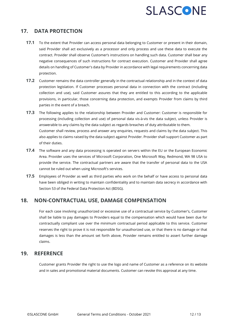#### **17. DATA PROTECTION**

- **17.1** To the extent that Provider can access personal data belonging to Customer or present in their domain, said Provider shall act exclusively as a processor and only process and use these data to execute the contract. Provider shall observe Customer's instructions on handling such data. Customer shall bear any negative consequences of such instructions for contract execution. Customer and Provider shall agree details on handling of Customer's data by Provider in accordance with legal requirements concerning data protection.
- **17.2** Customer remains the data controller generally in the contractual relationship and in the context of data protection legislation. If Customer processes personal data in connection with the contract (including collection and use), said Customer assures that they are entitled to this according to the applicable provisions, in particular, those concerning data protection, and exempts Provider from claims by third parties in the event of a breach.
- **17.3** The following applies to the relationship between Provider and Customer: Customer is responsible for processing (including collection and use) of personal data vis-à-vis the data subject, unless Provider is answerable to any claims by the data subject as regards breaches of duty attributable to them. Customer shall review, process and answer any enquiries, requests and claims by the data subject. This also applies to claims raised by the data subject against Provider. Provider shall support Customer as part of their duties.
- **17.4** The software and any data processing is operated on servers within the EU or the European Economic Area. Provider uses the services of Microsoft Corporation, One Microsoft Way, Redmond, WA 98 USA to provide the service. The contractual partners are aware that the transfer of personal data to the USA cannot be ruled out when using Microsoft's services.
- **17.5** Employees of Provider as well as third parties who work on the behalf or have access to personal data have been obliged in writing to maintain confidentiality and to maintain data secrecy in accordance with Section 53 of the Federal Data Protection Act (BDSG).

#### **18. NON-CONTRACTUAL USE, DAMAGE COMPENSATION**

For each case involving unauthorized or excessive use of a contractual service by Customer's, Customer shall be liable to pay damages to Providers equal to the compensation which would have been due for contractually compliant use over the minimum contractual period applicable to this service. Customer reserves the right to prove it is not responsible for unauthorized use, or that there is no damage or that damages is less than the amount set forth above, Provider remains entitled to assert further damage claims.

#### **19. REFERENCE**

Customer grants Provider the right to use the logo and name of Customer as a reference on its website and in sales and promotional material documents. Customer can revoke this approval at any time.